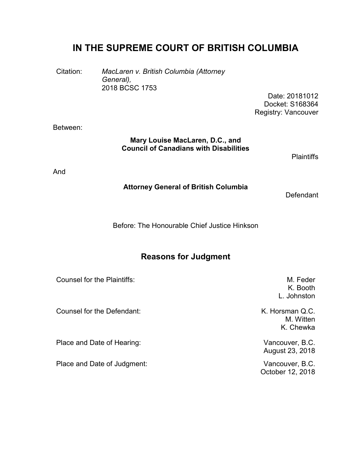# **IN THE SUPREME COURT OF BRITISH COLUMBIA**

Citation: *MacLaren v. British Columbia (Attorney General),* 2018 BCSC 1753

Date: 20181012 Docket: S168364 Registry: Vancouver

Between:

#### **Mary Louise MacLaren, D.C., and Council of Canadians with Disabilities**

**Plaintiffs** 

And

#### **Attorney General of British Columbia**

**Defendant** 

Before: The Honourable Chief Justice Hinkson

# **Reasons for Judgment**

| <b>Counsel for the Plaintiffs:</b> | M. Feder<br>K. Booth<br>L. Johnston       |
|------------------------------------|-------------------------------------------|
| Counsel for the Defendant:         | K. Horsman Q.C.<br>M. Witten<br>K. Chewka |
| Place and Date of Hearing:         | Vancouver, B.C.<br>August 23, 2018        |
| Place and Date of Judgment:        | Vancouver, B.C.<br>October 12, 2018       |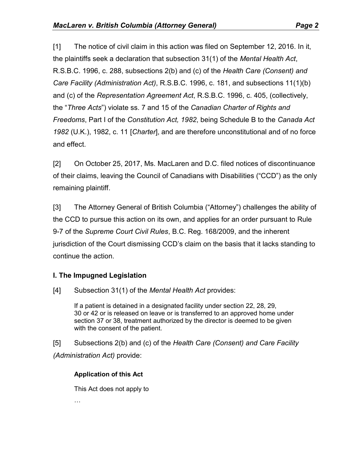[1] The notice of civil claim in this action was filed on September 12, 2016. In it, the plaintiffs seek a declaration that subsection 31(1) of the *Mental Health Act*, R.S.B.C. 1996, c. 288, subsections 2(b) and (c) of the *Health Care (Consent) and Care Facility (Administration Act)*, R.S.B.C. 1996, c. 181, and subsections 11(1)(b) and (c) of the *Representation Agreement Act*, R.S.B.C. 1996, c. 405, (collectively, the "*Three Acts*") violate ss. 7 and 15 of the *Canadian Charter of Rights and Freedoms*, Part I of the *Constitution Act, 1982*, being Schedule B to the *Canada Act 1982* (U.K.), 1982, c. 11 [*Charter*], and are therefore unconstitutional and of no force and effect.

[2] On October 25, 2017, Ms. MacLaren and D.C. filed notices of discontinuance of their claims, leaving the Council of Canadians with Disabilities ("CCD") as the only remaining plaintiff.

[3] The Attorney General of British Columbia ("Attorney") challenges the ability of the CCD to pursue this action on its own, and applies for an order pursuant to Rule 9-7 of the *Supreme Court Civil Rules*, B.C. Reg. 168/2009, and the inherent jurisdiction of the Court dismissing CCD's claim on the basis that it lacks standing to continue the action.

# **I. The Impugned Legislation**

[4] Subsection 31(1) of the *Mental Health Act* provides:

If a patient is detained in a designated facility under section 22, 28, 29, 30 or 42 or is released on leave or is transferred to an approved home under section 37 or 38, treatment authorized by the director is deemed to be given with the consent of the patient.

[5] Subsections 2(b) and (c) of the *Health Care (Consent) and Care Facility (Administration Act)* provide:

### **Application of this Act**

This Act does not apply to

…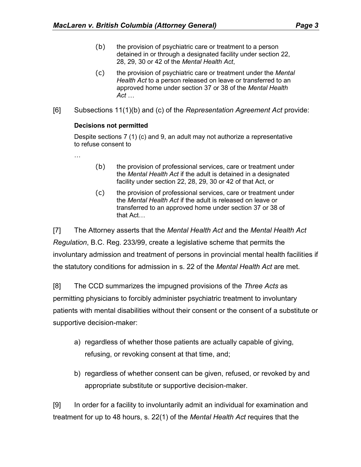- (b) the provision of psychiatric care or treatment to a person detained in or through a designated facility under section 22, 28, 29, 30 or 42 of the *Mental Health Act*,
- (c) the provision of psychiatric care or treatment under the *Mental Health Act* to a person released on leave or transferred to an approved home under section 37 or 38 of the *Mental Health Act* …
- [6] Subsections 11(1)(b) and (c) of the *Representation Agreement Act* provide:

#### **Decisions not permitted**

Despite sections 7 (1) (c) and 9, an adult may not authorize a representative to refuse consent to

- …
- (b) the provision of professional services, care or treatment under the *Mental Health Act* if the adult is detained in a designated facility under section 22, 28, 29, 30 or 42 of that Act, or
- (c) the provision of professional services, care or treatment under the *Mental Health Act* if the adult is released on leave or transferred to an approved home under section 37 or 38 of that Act…

[7] The Attorney asserts that the *Mental Health Act* and the *Mental Health Act Regulation*, B.C. Reg. 233/99, create a legislative scheme that permits the involuntary admission and treatment of persons in provincial mental health facilities if the statutory conditions for admission in s. 22 of the *Mental Health Act* are met.

[8] The CCD summarizes the impugned provisions of the *Three Acts* as permitting physicians to forcibly administer psychiatric treatment to involuntary patients with mental disabilities without their consent or the consent of a substitute or supportive decision-maker:

- a) regardless of whether those patients are actually capable of giving, refusing, or revoking consent at that time, and;
- b) regardless of whether consent can be given, refused, or revoked by and appropriate substitute or supportive decision-maker.

[9] In order for a facility to involuntarily admit an individual for examination and treatment for up to 48 hours, s. 22(1) of the *Mental Health Act* requires that the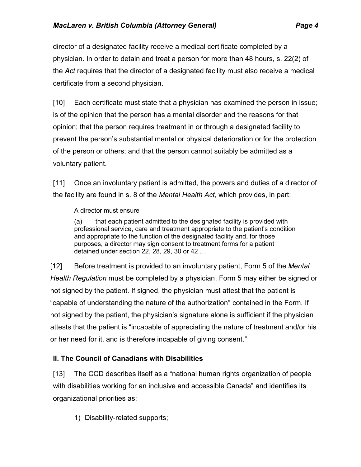director of a designated facility receive a medical certificate completed by a physician. In order to detain and treat a person for more than 48 hours, s. 22(2) of the *Act* requires that the director of a designated facility must also receive a medical certificate from a second physician.

[10] Each certificate must state that a physician has examined the person in issue; is of the opinion that the person has a mental disorder and the reasons for that opinion; that the person requires treatment in or through a designated facility to prevent the person's substantial mental or physical deterioration or for the protection of the person or others; and that the person cannot suitably be admitted as a voluntary patient.

[11] Once an involuntary patient is admitted, the powers and duties of a director of the facility are found in s. 8 of the *Mental Health Act,* which provides, in part:

### A director must ensure

(a) that each patient admitted to the designated facility is provided with professional service, care and treatment appropriate to the patient's condition and appropriate to the function of the designated facility and, for those purposes, a director may sign consent to treatment forms for a patient detained under section 22, 28, 29, 30 or 42 …

[12] Before treatment is provided to an involuntary patient, Form 5 of the *Mental Health Regulation* must be completed by a physician. Form 5 may either be signed or not signed by the patient. If signed, the physician must attest that the patient is "capable of understanding the nature of the authorization" contained in the Form. If not signed by the patient, the physician's signature alone is sufficient if the physician attests that the patient is "incapable of appreciating the nature of treatment and/or his or her need for it, and is therefore incapable of giving consent."

# **II. The Council of Canadians with Disabilities**

[13] The CCD describes itself as a "national human rights organization of people with disabilities working for an inclusive and accessible Canada" and identifies its organizational priorities as:

1) Disability-related supports;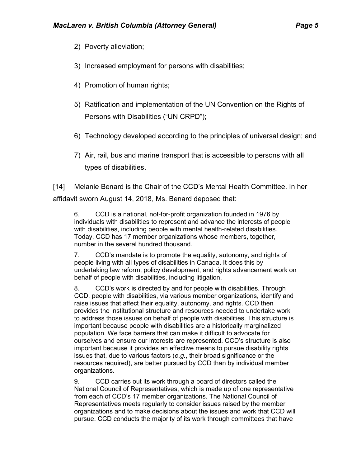- 2) Poverty alleviation;
- 3) Increased employment for persons with disabilities;
- 4) Promotion of human rights;
- 5) Ratification and implementation of the UN Convention on the Rights of Persons with Disabilities ("UN CRPD");
- 6) Technology developed according to the principles of universal design; and
- 7) Air, rail, bus and marine transport that is accessible to persons with all types of disabilities.

[14] Melanie Benard is the Chair of the CCD's Mental Health Committee. In her affidavit sworn August 14, 2018, Ms. Benard deposed that:

6. CCD is a national, not-for-profit organization founded in 1976 by individuals with disabilities to represent and advance the interests of people with disabilities, including people with mental health-related disabilities. Today, CCD has 17 member organizations whose members, together, number in the several hundred thousand.

7. CCD's mandate is to promote the equality, autonomy, and rights of people living with all types of disabilities in Canada. It does this by undertaking law reform, policy development, and rights advancement work on behalf of people with disabilities, including litigation.

8. CCD's work is directed by and for people with disabilities. Through CCD, people with disabilities, via various member organizations, identify and raise issues that affect their equality, autonomy, and rights. CCD then provides the institutional structure and resources needed to undertake work to address those issues on behalf of people with disabilities. This structure is important because people with disabilities are a historically marginalized population. We face barriers that can make it difficult to advocate for ourselves and ensure our interests are represented. CCD's structure is also important because it provides an effective means to pursue disability rights issues that, due to various factors (*e.g.*, their broad significance or the resources required), are better pursued by CCD than by individual member organizations.

9. CCD carries out its work through a board of directors called the National Council of Representatives, which is made up of one representative from each of CCD's 17 member organizations. The National Council of Representatives meets regularly to consider issues raised by the member organizations and to make decisions about the issues and work that CCD will pursue. CCD conducts the majority of its work through committees that have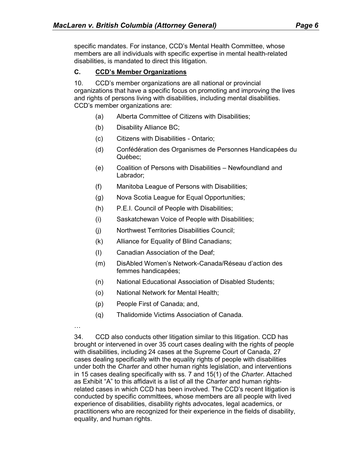specific mandates. For instance, CCD's Mental Health Committee, whose members are all individuals with specific expertise in mental health-related disabilities, is mandated to direct this litigation.

#### **C. CCD's Member Organizations**

10. CCD's member organizations are all national or provincial organizations that have a specific focus on promoting and improving the lives and rights of persons living with disabilities, including mental disabilities. CCD's member organizations are:

- (a) Alberta Committee of Citizens with Disabilities;
- (b) Disability Alliance BC;
- (c) Citizens with Disabilities Ontario;
- (d) Confédération des Organismes de Personnes Handicapées du Québec;
- (e) Coalition of Persons with Disabilities Newfoundland and Labrador;
- (f) Manitoba League of Persons with Disabilities;
- (g) Nova Scotia League for Equal Opportunities;
- (h) P.E.I. Council of People with Disabilities;
- (i) Saskatchewan Voice of People with Disabilities;
- (j) Northwest Territories Disabilities Council;
- (k) Alliance for Equality of Blind Canadians;
- (I) Canadian Association of the Deaf;
- (m) DisAbled Women's Network-Canada/Réseau d'action des femmes handicapées;
- (n) National Educational Association of Disabled Students;
- (o) National Network for Mental Health;
- (p) People First of Canada; and,
- (q) Thalidomide Victims Association of Canada.
- …

34. CCD also conducts other litigation similar to this litigation. CCD has brought or intervened in over 35 court cases dealing with the rights of people with disabilities, including 24 cases at the Supreme Court of Canada, 27 cases dealing specifically with the equality rights of people with disabilities under both the *Charter* and other human rights legislation, and interventions in 15 cases dealing specifically with ss. 7 and 15(1) of the *Charter*. Attached as Exhibit "A" to this affidavit is a list of all the *Charter* and human rightsrelated cases in which CCD has been involved. The CCD's recent litigation is conducted by specific committees, whose members are all people with lived experience of disabilities, disability rights advocates, legal academics, or practitioners who are recognized for their experience in the fields of disability, equality, and human rights.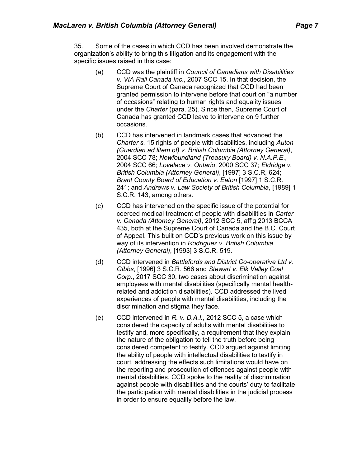35. Some of the cases in which CCD has been involved demonstrate the organization's ability to bring this litigation and its engagement with the specific issues raised in this case:

- (a) CCD was the plaintiff in *Council of Canadians with Disabilities v. VIA Rail Canada Inc*., 2007 SCC 15. In that decision, the Supreme Court of Canada recognized that CCD had been granted permission to intervene before that court on "a number of occasions" relating to human rights and equality issues under the *Charter* (para. 25). Since then, Supreme Court of Canada has granted CCD leave to intervene on 9 further occasions.
- (b) CCD has intervened in landmark cases that advanced the *Charter s.* 15 rights of people with disabilities, including *Auton (Guardian ad litem of) v. British Columbia (Attorney General)*, 2004 SCC 78; *Newfoundland (Treasury Board) v. N.A.P.E*., 2004 SCC 66; *Lovelace v. Ontario*, 2000 SCC 37; *Eldridge v. British Columbia (Attorney General)*, [1997] 3 S.C.R, 624; *Brant County Board of Education v. Eaton* [1997] 1 S.C.R. 241; and *Andrews v. Law Society of British Columbia*, [1989] 1 S.C.R. 143, among others.
- (c) CCD has intervened on the specific issue of the potential for coerced medical treatment of people with disabilities in *Carter v. Canada (Attorney General)*, 2012 SCC 5, aff'g 2013 BCCA 435, both at the Supreme Court of Canada and the B.C. Court of Appeal. This built on CCD's previous work on this issue by way of its intervention in *Rodriguez v. British Columbia (Attorney General)*, [1993] 3 S.C.R. 519.
- (d) CCD intervened in *Battlefords and District Co-operative Ltd v. Gibbs*, [1996] 3 S.C.R. 566 and *Stewart v. Elk Valley Coal Corp.*, 2017 SCC 30, two cases about discrimination against employees with mental disabilities (specifically mental healthrelated and addiction disabilities). CCD addressed the lived experiences of people with mental disabilities, including the discrimination and stigma they face.
- (e) CCD intervened in *R. v. D.A.I.*, 2012 SCC 5, a case which considered the capacity of adults with mental disabilities to testify and, more specifically, a requirement that they explain the nature of the obligation to tell the truth before being considered competent to testify. CCD argued against limiting the ability of people with intellectual disabilities to testify in court, addressing the effects such limitations would have on the reporting and prosecution of offences against people with mental disabilities. CCD spoke to the reality of discrimination against people with disabilities and the courts' duty to facilitate the participation with mental disabilities in the judicial process in order to ensure equality before the law.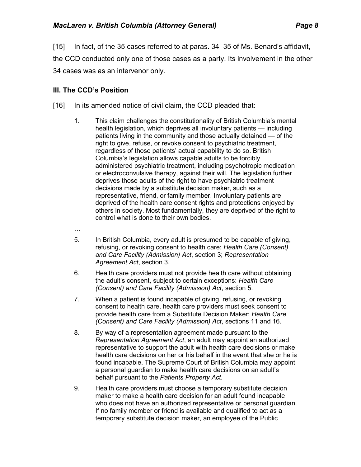[15] In fact, of the 35 cases referred to at paras. 34–35 of Ms. Benard's affidavit, the CCD conducted only one of those cases as a party. Its involvement in the other 34 cases was as an intervenor only.

### **III. The CCD's Position**

- [16] In its amended notice of civil claim, the CCD pleaded that:
	- 1. This claim challenges the constitutionality of British Columbia's mental health legislation, which deprives all involuntary patients — including patients living in the community and those actually detained — of the right to give, refuse, or revoke consent to psychiatric treatment, regardless of those patients' actual capability to do so. British Columbia's legislation allows capable adults to be forcibly administered psychiatric treatment, including psychotropic medication or electroconvulsive therapy, against their will. The legislation further deprives those adults of the right to have psychiatric treatment decisions made by a substitute decision maker, such as a representative, friend, or family member. Involuntary patients are deprived of the health care consent rights and protections enjoyed by others in society. Most fundamentally, they are deprived of the right to control what is done to their own bodies.
	- …
	- 5. In British Columbia, every adult is presumed to be capable of giving, refusing, or revoking consent to health care: *Health Care (Consent) and Care Facility (Admission) Act*, section 3; *Representation Agreement Act*, section 3.
	- 6. Health care providers must not provide health care without obtaining the adult's consent, subject to certain exceptions: *Health Care (Consent) and Care Facility (Admission) Act*, section 5.
	- 7. When a patient is found incapable of giving, refusing, or revoking consent to health care, health care providers must seek consent to provide health care from a Substitute Decision Maker: *Health Care (Consent) and Care Facility (Admission) Act*, sections 11 and 16.
	- 8. By way of a representation agreement made pursuant to the *Representation Agreement Act*, an adult may appoint an authorized representative to support the adult with health care decisions or make health care decisions on her or his behalf in the event that she or he is found incapable. The Supreme Court of British Columbia may appoint a personal guardian to make health care decisions on an adult's behalf pursuant to the *Patients Property Act*.
	- 9. Health care providers must choose a temporary substitute decision maker to make a health care decision for an adult found incapable who does not have an authorized representative or personal guardian. If no family member or friend is available and qualified to act as a temporary substitute decision maker, an employee of the Public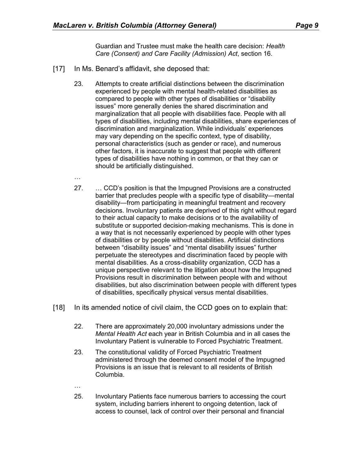Guardian and Trustee must make the health care decision: *Health Care (Consent) and Care Facility (Admission) Act*, section 16.

- [17] In Ms. Benard's affidavit, she deposed that:
	- 23. Attempts to create artificial distinctions between the discrimination experienced by people with mental health-related disabilities as compared to people with other types of disabilities or "disability issues" more generally denies the shared discrimination and marginalization that all people with disabilities face. People with all types of disabilities, including mental disabilities, share experiences of discrimination and marginalization. While individuals' experiences may vary depending on the specific context, type of disability, personal characteristics (such as gender or race), and numerous other factors, it is inaccurate to suggest that people with different types of disabilities have nothing in common, or that they can or should be artificially distinguished.
	- …
	- 27. … CCD's position is that the Impugned Provisions are a constructed barrier that precludes people with a specific type of disability—mental disability—from participating in meaningful treatment and recovery decisions. Involuntary patients are deprived of this right without regard to their actual capacity to make decisions or to the availability of substitute or supported decision-making mechanisms. This is done in a way that is not necessarily experienced by people with other types of disabilities or by people without disabilities. Artificial distinctions between "disability issues" and "mental disability issues" further perpetuate the stereotypes and discrimination faced by people with mental disabilities. As a cross-disability organization, CCD has a unique perspective relevant to the litigation about how the Impugned Provisions result in discrimination between people with and without disabilities, but also discrimination between people with different types of disabilities, specifically physical versus mental disabilities.
- [18] In its amended notice of civil claim, the CCD goes on to explain that:
	- 22. There are approximately 20,000 involuntary admissions under the *Mental Health Act* each year in British Columbia and in all cases the Involuntary Patient is vulnerable to Forced Psychiatric Treatment.
	- 23. The constitutional validity of Forced Psychiatric Treatment administered through the deemed consent model of the Impugned Provisions is an issue that is relevant to all residents of British Columbia.
	- …
	- 25. Involuntary Patients face numerous barriers to accessing the court system, including barriers inherent to ongoing detention, lack of access to counsel, lack of control over their personal and financial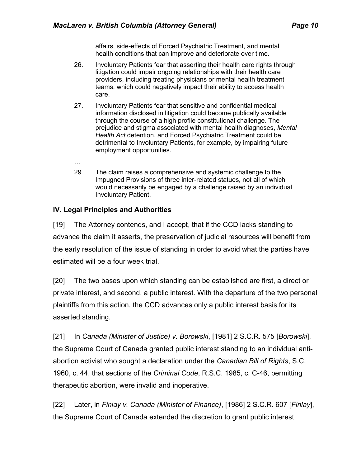affairs, side-effects of Forced Psychiatric Treatment, and mental health conditions that can improve and deteriorate over time.

- 26. Involuntary Patients fear that asserting their health care rights through litigation could impair ongoing relationships with their health care providers, including treating physicians or mental health treatment teams, which could negatively impact their ability to access health care.
- 27. Involuntary Patients fear that sensitive and confidential medical information disclosed in litigation could become publically available through the course of a high profile constitutional challenge. The prejudice and stigma associated with mental health diagnoses, *Mental Health Act* detention, and Forced Psychiatric Treatment could be detrimental to Involuntary Patients, for example, by impairing future employment opportunities.
- …
- 29. The claim raises a comprehensive and systemic challenge to the Impugned Provisions of three inter-related statues, not all of which would necessarily be engaged by a challenge raised by an individual Involuntary Patient.

## **IV. Legal Principles and Authorities**

[19] The Attorney contends, and I accept, that if the CCD lacks standing to advance the claim it asserts, the preservation of judicial resources will benefit from the early resolution of the issue of standing in order to avoid what the parties have estimated will be a four week trial.

[20] The two bases upon which standing can be established are first, a direct or private interest, and second, a public interest. With the departure of the two personal plaintiffs from this action, the CCD advances only a public interest basis for its asserted standing.

[21] In *Canada (Minister of Justice) v. Borowski*, [1981] 2 S.C.R. 575 [*Borowski*], the Supreme Court of Canada granted public interest standing to an individual antiabortion activist who sought a declaration under the *Canadian Bill of Rights*, S.C. 1960, c. 44, that sections of the *Criminal Code*, R.S.C. 1985, c. C-46, permitting therapeutic abortion, were invalid and inoperative.

[22] Later, in *Finlay v. Canada (Minister of Finance)*, [1986] 2 S.C.R. 607 [*Finlay*], the Supreme Court of Canada extended the discretion to grant public interest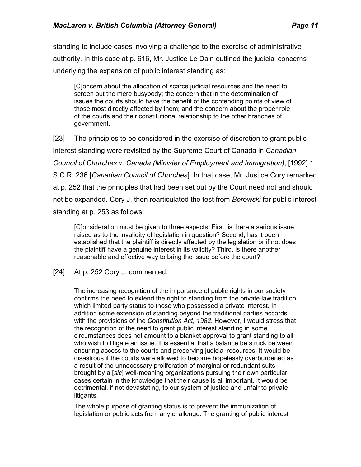standing to include cases involving a challenge to the exercise of administrative authority. In this case at p. 616, Mr. Justice Le Dain outlined the judicial concerns underlying the expansion of public interest standing as:

[C]oncern about the allocation of scarce judicial resources and the need to screen out the mere busybody; the concern that in the determination of issues the courts should have the benefit of the contending points of view of those most directly affected by them; and the concern about the proper role of the courts and their constitutional relationship to the other branches of government.

[23] The principles to be considered in the exercise of discretion to grant public interest standing were revisited by the Supreme Court of Canada in *Canadian Council of Churches v. Canada (Minister of Employment and Immigration)*, [1992] 1 S.C.R. 236 [*Canadian Council of Churches*]. In that case, Mr. Justice Cory remarked at p. 252 that the principles that had been set out by the Court need not and should not be expanded. Cory J. then rearticulated the test from *Borowski* for public interest standing at p. 253 as follows:

[C]onsideration must be given to three aspects. First, is there a serious issue raised as to the invalidity of legislation in question? Second, has it been established that the plaintiff is directly affected by the legislation or if not does the plaintiff have a genuine interest in its validity? Third, is there another reasonable and effective way to bring the issue before the court?

[24] At p. 252 Cory J. commented:

The increasing recognition of the importance of public rights in our society confirms the need to extend the right to standing from the private law tradition which limited party status to those who possessed a private interest. In addition some extension of standing beyond the traditional parties accords with the provisions of the *Constitution Act*, *1982*. However, I would stress that the recognition of the need to grant public interest standing in some circumstances does not amount to a blanket approval to grant standing to all who wish to litigate an issue. It is essential that a balance be struck between ensuring access to the courts and preserving judicial resources. It would be disastrous if the courts were allowed to become hopelessly overburdened as a result of the unnecessary proliferation of marginal or redundant suits brought by a [*sic*] well-meaning organizations pursuing their own particular cases certain in the knowledge that their cause is all important. It would be detrimental, if not devastating, to our system of justice and unfair to private litigants.

The whole purpose of granting status is to prevent the immunization of legislation or public acts from any challenge. The granting of public interest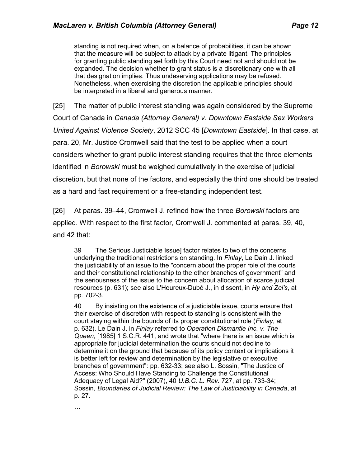standing is not required when, on a balance of probabilities, it can be shown that the measure will be subject to attack by a private litigant. The principles for granting public standing set forth by this Court need not and should not be expanded. The decision whether to grant status is a discretionary one with all that designation implies. Thus undeserving applications may be refused. Nonetheless, when exercising the discretion the applicable principles should be interpreted in a liberal and generous manner.

[25] The matter of public interest standing was again considered by the Supreme Court of Canada in *Canada (Attorney General) v. Downtown Eastside Sex Workers United Against Violence Society*, 2012 SCC 45 [*Downtown Eastside*]. In that case, at para. 20, Mr. Justice Cromwell said that the test to be applied when a court considers whether to grant public interest standing requires that the three elements identified in *Borowski* must be weighed cumulatively in the exercise of judicial discretion, but that none of the factors, and especially the third one should be treated as a hard and fast requirement or a free-standing independent test.

[26] At paras. 39–44, Cromwell J. refined how the three *Borowski* factors are applied. With respect to the first factor, Cromwell J. commented at paras. 39, 40, and 42 that:

39 The Serious Justiciable Issue] factor relates to two of the concerns underlying the traditional restrictions on standing. In *Finlay*, Le Dain J. linked the justiciability of an issue to the "concern about the proper role of the courts and their constitutional relationship to the other branches of government" and the seriousness of the issue to the concern about allocation of scarce judicial resources (p. 631); see also L'Heureux-Dubé J., in dissent, in *Hy and Zel's*, at pp. 702-3.

40 By insisting on the existence of a justiciable issue, courts ensure that their exercise of discretion with respect to standing is consistent with the court staying within the bounds of its proper constitutional role (*Finlay*, at p. 632). Le Dain J. in *Finlay* referred to *Operation Dismantle Inc. v. The Queen*, [1985] 1 S.C.R. 441, and wrote that "where there is an issue which is appropriate for judicial determination the courts should not decline to determine it on the ground that because of its policy context or implications it is better left for review and determination by the legislative or executive branches of government": pp. 632-33; see also L. Sossin, "The Justice of Access: Who Should Have Standing to Challenge the Constitutional Adequacy of Legal Aid?" (2007), 40 *U.B.C. L. Rev.* 727, at pp. 733-34; Sossin, *Boundaries of Judicial Review: The Law of Justiciability in Canada*, at p. 27.

…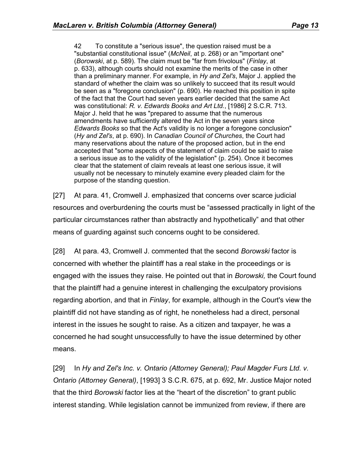42 To constitute a "serious issue", the question raised must be a "substantial constitutional issue" (*McNeil*, at p. 268) or an "important one" (*Borowski*, at p. 589). The claim must be "far from frivolous" (*Finlay*, at p. 633), although courts should not examine the merits of the case in other than a preliminary manner. For example, in *Hy and Zel's*, Major J. applied the standard of whether the claim was so unlikely to succeed that its result would be seen as a "foregone conclusion" (p. 690). He reached this position in spite of the fact that the Court had seven years earlier decided that the same Act was constitutional: *R. v. Edwards Books and Art Ltd.*, [1986] 2 S.C.R. 713. Major J. held that he was "prepared to assume that the numerous amendments have sufficiently altered the Act in the seven years since *Edwards Books* so that the Act's validity is no longer a foregone conclusion" (*Hy and Zel's*, at p. 690). In *Canadian Council of Churches*, the Court had many reservations about the nature of the proposed action, but in the end accepted that "some aspects of the statement of claim could be said to raise a serious issue as to the validity of the legislation" (p. 254). Once it becomes clear that the statement of claim reveals at least one serious issue, it will usually not be necessary to minutely examine every pleaded claim for the purpose of the standing question.

[27] At para. 41, Cromwell J. emphasized that concerns over scarce judicial resources and overburdening the courts must be "assessed practically in light of the particular circumstances rather than abstractly and hypothetically" and that other means of guarding against such concerns ought to be considered.

[28] At para. 43, Cromwell J. commented that the second *Borowski* factor is concerned with whether the plaintiff has a real stake in the proceedings or is engaged with the issues they raise. He pointed out that in *Borowski,* the Court found that the plaintiff had a genuine interest in challenging the exculpatory provisions regarding abortion, and that in *Finlay*, for example, although in the Court's view the plaintiff did not have standing as of right, he nonetheless had a direct, personal interest in the issues he sought to raise. As a citizen and taxpayer, he was a concerned he had sought unsuccessfully to have the issue determined by other means.

[29] In Hy and Zel's Inc. v. Ontario (Attorney General); Paul Magder Furs Ltd. v. *Ontario (Attorney General)*, [1993] 3 S.C.R. 675, at p. 692, Mr. Justice Major noted that the third *Borowski* factor lies at the "heart of the discretion" to grant public interest standing. While legislation cannot be immunized from review, if there are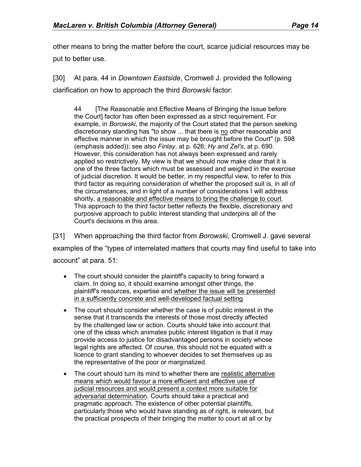other means to bring the matter before the court, scarce judicial resources may be put to better use.

[30] At para. 44 in *Downtown Eastside*, Cromwell J. provided the following clarification on how to approach the third *Borowski* factor:

44 [The Reasonable and Effective Means of Bringing the Issue before the Court] factor has often been expressed as a strict requirement. For example, in *Borowski*, the majority of the Court stated that the person seeking discretionary standing has "to show ... that there is no other reasonable and effective manner in which the issue may be brought before the Court" (p. 598 (emphasis added)); see also *Finlay*, at p. 626; *Hy and Zel's*, at p. 690. However, this consideration has not always been expressed and rarely applied so restrictively. My view is that we should now make clear that it is one of the three factors which must be assessed and weighed in the exercise of judicial discretion. It would be better, in my respectful view, to refer to this third factor as requiring consideration of whether the proposed suit is, in all of the circumstances, and in light of a number of considerations I will address shortly, a reasonable and effective means to bring the challenge to court. This approach to the third factor better reflects the flexible, discretionary and purposive approach to public interest standing that underpins all of the Court's decisions in this area.

[31] When approaching the third factor from *Borowski*, Cromwell J. gave several examples of the "types of interrelated matters that courts may find useful to take into account" at para. 51:

- The court should consider the plaintiff's capacity to bring forward a claim. In doing so, it should examine amongst other things, the plaintiff's resources, expertise and whether the issue will be presented in a sufficiently concrete and well-developed factual setting
- The court should consider whether the case is of public interest in the sense that it transcends the interests of those most directly affected by the challenged law or action. Courts should take into account that one of the ideas which animates public interest litigation is that it may provide access to justice for disadvantaged persons in society whose legal rights are affected. Of course, this should not be equated with a licence to grant standing to whoever decides to set themselves up as the representative of the poor or marginalized.
- The court should turn its mind to whether there are realistic alternative means which would favour a more efficient and effective use of judicial resources and would present a context more suitable for adversarial determination. Courts should take a practical and pragmatic approach. The existence of other potential plaintiffs, particularly those who would have standing as of right, is relevant, but the practical prospects of their bringing the matter to court at all or by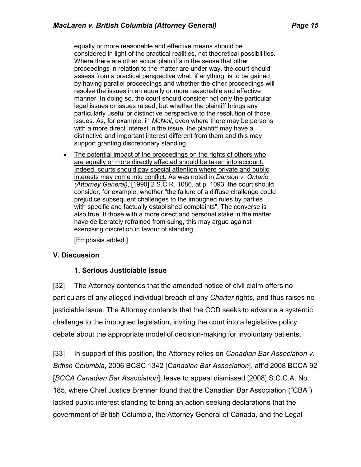equally or more reasonable and effective means should be considered in light of the practical realities, not theoretical possibilities. Where there are other actual plaintiffs in the sense that other proceedings in relation to the matter are under way, the court should assess from a practical perspective what, if anything, is to be gained by having parallel proceedings and whether the other proceedings will resolve the issues in an equally or more reasonable and effective manner. In doing so, the court should consider not only the particular legal issues or issues raised, but whether the plaintiff brings any particularly useful or distinctive perspective to the resolution of those issues. As, for example, in *McNeil*, even where there may be persons with a more direct interest in the issue, the plaintiff may have a distinctive and important interest different from them and this may support granting discretionary standing.

The potential impact of the proceedings on the rights of others who are equally or more directly affected should be taken into account. Indeed, courts should pay special attention where private and public interests may come into conflict. As was noted in *Danson v. Ontario (Attorney General)*, [1990] 2 S.C.R. 1086, at p. 1093, the court should consider, for example, whether "the failure of a diffuse challenge could prejudice subsequent challenges to the impugned rules by parties with specific and factually established complaints". The converse is also true. If those with a more direct and personal stake in the matter have deliberately refrained from suing, this may argue against exercising discretion in favour of standing.

[Emphasis added.]

### **V. Discussion**

#### **1. Serious Justiciable Issue**

[32] The Attorney contends that the amended notice of civil claim offers no particulars of any alleged individual breach of any *Charter* rights, and thus raises no justiciable issue. The Attorney contends that the CCD seeks to advance a systemic challenge to the impugned legislation, inviting the court into a legislative policy debate about the appropriate model of decision-making for involuntary patients.

[33] In support of this position, the Attorney relies on *Canadian Bar Association v. British Columbia*, 2006 BCSC 1342 [*Canadian Bar Association*], aff'd 2008 BCCA 92 [*BCCA Canadian Bar Association*], leave to appeal dismissed [2008] S.C.C.A. No. 185, where Chief Justice Brenner found that the Canadian Bar Association ("CBA") lacked public interest standing to bring an action seeking declarations that the government of British Columbia, the Attorney General of Canada, and the Legal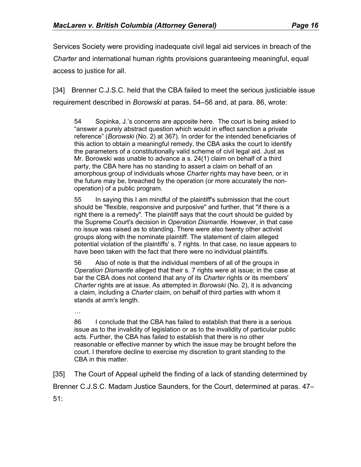Services Society were providing inadequate civil legal aid services in breach of the *Charter* and international human rights provisions guaranteeing meaningful, equal access to justice for all.

[34] Brenner C.J.S.C. held that the CBA failed to meet the serious justiciable issue requirement described in *Borowski* at paras. 54–56 and, at para. 86, wrote:

54 Sopinka, J.'s concerns are apposite here. The court is being asked to "answer a purely abstract question which would in effect sanction a private reference" (*Borowski* (No. 2) at 367). In order for the intended beneficiaries of this action to obtain a meaningful remedy, the CBA asks the court to identify the parameters of a constitutionally valid scheme of civil legal aid. Just as Mr. Borowski was unable to advance a s. 24(1) claim on behalf of a third party, the CBA here has no standing to assert a claim on behalf of an amorphous group of individuals whose *Charter* rights may have been, or in the future may be, breached by the operation (or more accurately the nonoperation) of a public program.

55 In saying this I am mindful of the plaintiff's submission that the court should be "flexible, responsive and purposive" and further, that "if there is a right there is a remedy". The plaintiff says that the court should be guided by the Supreme Court's decision in *Operation Dismantle*. However, in that case no issue was raised as to standing. There were also twenty other activist groups along with the nominate plaintiff. The statement of claim alleged potential violation of the plaintiffs' s. 7 rights. In that case, no issue appears to have been taken with the fact that there were no individual plaintiffs.

56 Also of note is that the individual members of all of the groups in *Operation Dismantle* alleged that their s. 7 rights were at issue; in the case at bar the CBA does not contend that any of its *Charter* rights or its members' *Charter* rights are at issue. As attempted in *Borowski* (No. 2), it is advancing a claim, including a *Charter* claim, on behalf of third parties with whom it stands at arm's length.

…

86 I conclude that the CBA has failed to establish that there is a serious issue as to the invalidity of legislation or as to the invalidity of particular public acts. Further, the CBA has failed to establish that there is no other reasonable or effective manner by which the issue may be brought before the court. I therefore decline to exercise my discretion to grant standing to the CBA in this matter.

[35] The Court of Appeal upheld the finding of a lack of standing determined by Brenner C.J.S.C. Madam Justice Saunders, for the Court, determined at paras. 47– 51: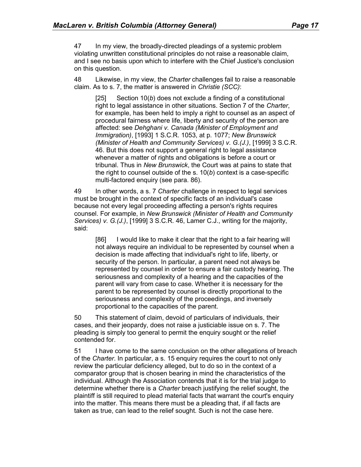47 In my view, the broadly-directed pleadings of a systemic problem violating unwritten constitutional principles do not raise a reasonable claim, and I see no basis upon which to interfere with the Chief Justice's conclusion on this question.

48 Likewise, in my view, the *Charter* challenges fail to raise a reasonable claim. As to s. 7, the matter is answered in *Christie (SCC)*:

[25] Section 10(*b*) does not exclude a finding of a constitutional right to legal assistance in other situations. Section 7 of the *Charter*, for example, has been held to imply a right to counsel as an aspect of procedural fairness where life, liberty and security of the person are affected: see *Dehghani v. Canada (Minister of Employment and Immigration)*, [1993] 1 S.C.R. 1053, at p. 1077; *New Brunswick (Minister of Health and Community Services) v. G.(J.)*, [1999] 3 S.C.R. 46. But this does not support a general right to legal assistance whenever a matter of rights and obligations is before a court or tribunal. Thus in *New Brunswick*, the Court was at pains to state that the right to counsel outside of the s. 10(*b*) context is a case-specific multi-factored enquiry (see para. 86).

49 In other words, a s. 7 *Charter* challenge in respect to legal services must be brought in the context of specific facts of an individual's case because not every legal proceeding affecting a person's rights requires counsel. For example, in *New Brunswick (Minister of Health and Community Services) v. G.(J.)*, [1999] 3 S.C.R. 46, Lamer C.J., writing for the majority, said:

[86] I would like to make it clear that the right to a fair hearing will not always require an individual to be represented by counsel when a decision is made affecting that individual's right to life, liberty, or security of the person. In particular, a parent need not always be represented by counsel in order to ensure a fair custody hearing. The seriousness and complexity of a hearing and the capacities of the parent will vary from case to case. Whether it is necessary for the parent to be represented by counsel is directly proportional to the seriousness and complexity of the proceedings, and inversely proportional to the capacities of the parent.

50 This statement of claim, devoid of particulars of individuals, their cases, and their jeopardy, does not raise a justiciable issue on s. 7. The pleading is simply too general to permit the enquiry sought or the relief contended for.

51 I have come to the same conclusion on the other allegations of breach of the *Charter*. In particular, a s. 15 enquiry requires the court to not only review the particular deficiency alleged, but to do so in the context of a comparator group that is chosen bearing in mind the characteristics of the individual. Although the Association contends that it is for the trial judge to determine whether there is a *Charter* breach justifying the relief sought, the plaintiff is still required to plead material facts that warrant the court's enquiry into the matter. This means there must be a pleading that, if all facts are taken as true, can lead to the relief sought. Such is not the case here.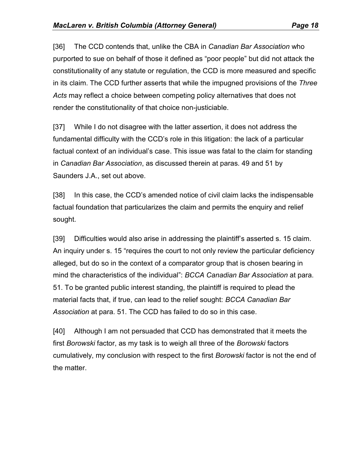[36] The CCD contends that, unlike the CBA in *Canadian Bar Association* who purported to sue on behalf of those it defined as "poor people" but did not attack the constitutionality of any statute or regulation, the CCD is more measured and specific in its claim. The CCD further asserts that while the impugned provisions of the *Three Acts* may reflect a choice between competing policy alternatives that does not render the constitutionality of that choice non-justiciable.

[37] While I do not disagree with the latter assertion, it does not address the fundamental difficulty with the CCD's role in this litigation: the lack of a particular factual context of an individual's case. This issue was fatal to the claim for standing in *Canadian Bar Association*, as discussed therein at paras. 49 and 51 by Saunders J.A., set out above.

[38] In this case, the CCD's amended notice of civil claim lacks the indispensable factual foundation that particularizes the claim and permits the enquiry and relief sought.

[39] Difficulties would also arise in addressing the plaintiff's asserted s. 15 claim. An inquiry under s. 15 "requires the court to not only review the particular deficiency alleged, but do so in the context of a comparator group that is chosen bearing in mind the characteristics of the individual": *BCCA Canadian Bar Association* at para. 51. To be granted public interest standing, the plaintiff is required to plead the material facts that, if true, can lead to the relief sought: *BCCA Canadian Bar Association* at para. 51. The CCD has failed to do so in this case.

[40] Although I am not persuaded that CCD has demonstrated that it meets the first *Borowski* factor, as my task is to weigh all three of the *Borowski* factors cumulatively, my conclusion with respect to the first *Borowski* factor is not the end of the matter.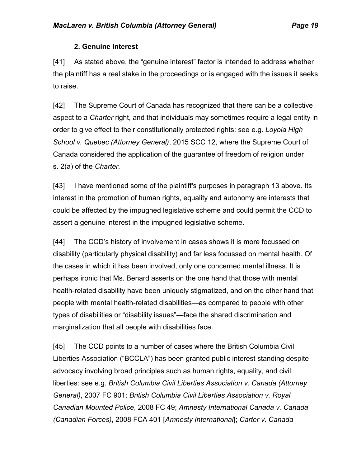### **2. Genuine Interest**

[41] As stated above, the "genuine interest" factor is intended to address whether the plaintiff has a real stake in the proceedings or is engaged with the issues it seeks to raise.

[42] The Supreme Court of Canada has recognized that there can be a collective aspect to a *Charter* right, and that individuals may sometimes require a legal entity in order to give effect to their constitutionally protected rights: see e.g. *Loyola High School v. Quebec (Attorney General)*, 2015 SCC 12, where the Supreme Court of Canada considered the application of the guarantee of freedom of religion under s. 2(a) of the *Charter.*

[43] I have mentioned some of the plaintiff's purposes in paragraph 13 above. Its interest in the promotion of human rights, equality and autonomy are interests that could be affected by the impugned legislative scheme and could permit the CCD to assert a genuine interest in the impugned legislative scheme.

[44] The CCD's history of involvement in cases shows it is more focussed on disability (particularly physical disability) and far less focussed on mental health. Of the cases in which it has been involved, only one concerned mental illness. It is perhaps ironic that Ms. Benard asserts on the one hand that those with mental health-related disability have been uniquely stigmatized, and on the other hand that people with mental health-related disabilities—as compared to people with other types of disabilities or "disability issues"—face the shared discrimination and marginalization that all people with disabilities face.

[45] The CCD points to a number of cases where the British Columbia Civil Liberties Association ("BCCLA") has been granted public interest standing despite advocacy involving broad principles such as human rights, equality, and civil liberties: see e.g. *British Columbia Civil Liberties Association v. Canada (Attorney General)*, 2007 FC 901; *British Columbia Civil Liberties Association v. Royal Canadian Mounted Police*, 2008 FC 49; *Amnesty International Canada v. Canada (Canadian Forces)*, 2008 FCA 401 [*Amnesty International*]; *Carter v. Canada*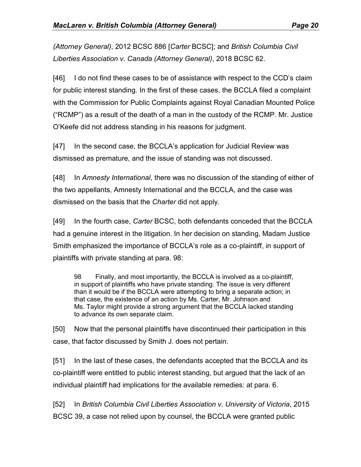*(Attorney General)*, 2012 BCSC 886 [*Carter* BCSC]; and *British Columbia Civil Liberties Association v. Canada (Attorney General)*, 2018 BCSC 62.

[46] I do not find these cases to be of assistance with respect to the CCD's claim for public interest standing. In the first of these cases, the BCCLA filed a complaint with the Commission for Public Complaints against Royal Canadian Mounted Police ("RCMP") as a result of the death of a man in the custody of the RCMP. Mr. Justice O'Keefe did not address standing in his reasons for judgment.

[47] In the second case, the BCCLA's application for Judicial Review was dismissed as premature, and the issue of standing was not discussed.

[48] In *Amnesty International*, there was no discussion of the standing of either of the two appellants, Amnesty International and the BCCLA, and the case was dismissed on the basis that the *Charter* did not apply.

[49] In the fourth case, *Carter* BCSC, both defendants conceded that the BCCLA had a genuine interest in the litigation. In her decision on standing, Madam Justice Smith emphasized the importance of BCCLA's role as a co-plaintiff, in support of plaintiffs with private standing at para. 98:

98 Finally, and most importantly, the BCCLA is involved as a co-plaintiff, in support of plaintiffs who have private standing. The issue is very different than it would be if the BCCLA were attempting to bring a separate action; in that case, the existence of an action by Ms. Carter, Mr. Johnson and Ms. Taylor might provide a strong argument that the BCCLA lacked standing to advance its own separate claim.

[50] Now that the personal plaintiffs have discontinued their participation in this case, that factor discussed by Smith J. does not pertain.

[51] In the last of these cases, the defendants accepted that the BCCLA and its co-plaintiff were entitled to public interest standing, but argued that the lack of an individual plaintiff had implications for the available remedies: at para. 6.

[52] In *British Columbia Civil Liberties Association v. University of Victoria*, 2015 BCSC 39, a case not relied upon by counsel, the BCCLA were granted public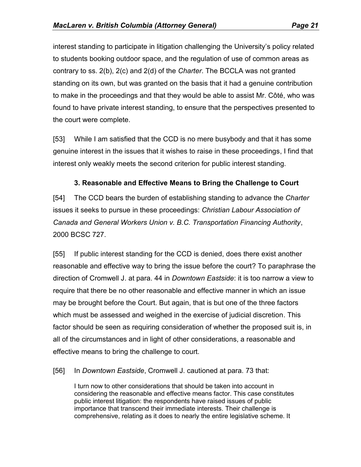interest standing to participate in litigation challenging the University's policy related to students booking outdoor space, and the regulation of use of common areas as contrary to ss. 2(b), 2(c) and 2(d) of the *Charter*. The BCCLA was not granted standing on its own, but was granted on the basis that it had a genuine contribution to make in the proceedings and that they would be able to assist Mr. Côté, who was found to have private interest standing, to ensure that the perspectives presented to

the court were complete.

[53] While I am satisfied that the CCD is no mere busybody and that it has some genuine interest in the issues that it wishes to raise in these proceedings, I find that interest only weakly meets the second criterion for public interest standing.

# **3. Reasonable and Effective Means to Bring the Challenge to Court**

[54] The CCD bears the burden of establishing standing to advance the *Charter* issues it seeks to pursue in these proceedings: *Christian Labour Association of Canada and General Workers Union v. B.C. Transportation Financing Authority*, 2000 BCSC 727.

[55] If public interest standing for the CCD is denied, does there exist another reasonable and effective way to bring the issue before the court? To paraphrase the direction of Cromwell J. at para. 44 in *Downtown Eastside*: it is too narrow a view to require that there be no other reasonable and effective manner in which an issue may be brought before the Court. But again, that is but one of the three factors which must be assessed and weighed in the exercise of judicial discretion. This factor should be seen as requiring consideration of whether the proposed suit is, in all of the circumstances and in light of other considerations, a reasonable and effective means to bring the challenge to court.

[56] In *Downtown Eastside*, Cromwell J. cautioned at para. 73 that:

I turn now to other considerations that should be taken into account in considering the reasonable and effective means factor. This case constitutes public interest litigation: the respondents have raised issues of public importance that transcend their immediate interests. Their challenge is comprehensive, relating as it does to nearly the entire legislative scheme. It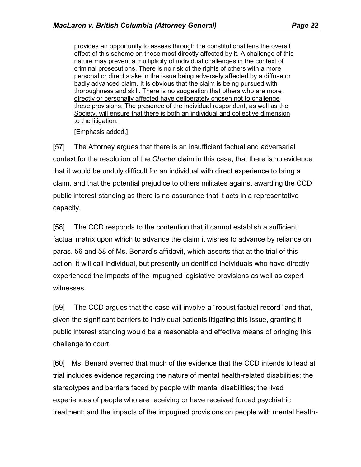provides an opportunity to assess through the constitutional lens the overall effect of this scheme on those most directly affected by it. A challenge of this nature may prevent a multiplicity of individual challenges in the context of criminal prosecutions. There is no risk of the rights of others with a more personal or direct stake in the issue being adversely affected by a diffuse or badly advanced claim. It is obvious that the claim is being pursued with thoroughness and skill. There is no suggestion that others who are more directly or personally affected have deliberately chosen not to challenge these provisions. The presence of the individual respondent, as well as the Society, will ensure that there is both an individual and collective dimension to the litigation.

[Emphasis added.]

[57] The Attorney argues that there is an insufficient factual and adversarial context for the resolution of the *Charter* claim in this case, that there is no evidence that it would be unduly difficult for an individual with direct experience to bring a claim, and that the potential prejudice to others militates against awarding the CCD public interest standing as there is no assurance that it acts in a representative capacity.

[58] The CCD responds to the contention that it cannot establish a sufficient factual matrix upon which to advance the claim it wishes to advance by reliance on paras. 56 and 58 of Ms. Benard's affidavit, which asserts that at the trial of this action, it will call individual, but presently unidentified individuals who have directly experienced the impacts of the impugned legislative provisions as well as expert witnesses.

[59] The CCD argues that the case will involve a "robust factual record" and that, given the significant barriers to individual patients litigating this issue, granting it public interest standing would be a reasonable and effective means of bringing this challenge to court.

[60] Ms. Benard averred that much of the evidence that the CCD intends to lead at trial includes evidence regarding the nature of mental health-related disabilities; the stereotypes and barriers faced by people with mental disabilities; the lived experiences of people who are receiving or have received forced psychiatric treatment; and the impacts of the impugned provisions on people with mental health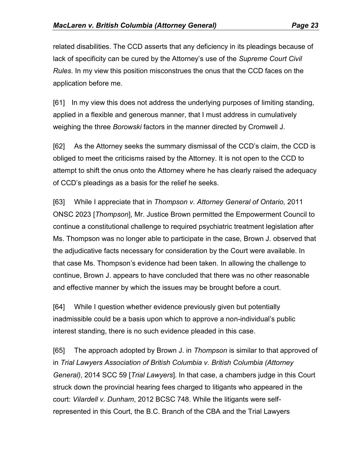related disabilities. The CCD asserts that any deficiency in its pleadings because of lack of specificity can be cured by the Attorney's use of the *Supreme Court Civil Rules*. In my view this position misconstrues the onus that the CCD faces on the application before me.

[61] In my view this does not address the underlying purposes of limiting standing, applied in a flexible and generous manner, that I must address in cumulatively weighing the three *Borowski* factors in the manner directed by Cromwell J.

[62] As the Attorney seeks the summary dismissal of the CCD's claim, the CCD is obliged to meet the criticisms raised by the Attorney. It is not open to the CCD to attempt to shift the onus onto the Attorney where he has clearly raised the adequacy of CCD's pleadings as a basis for the relief he seeks.

[63] While I appreciate that in *Thompson v. Attorney General of Ontario,* 2011 ONSC 2023 [*Thompson*], Mr. Justice Brown permitted the Empowerment Council to continue a constitutional challenge to required psychiatric treatment legislation after Ms. Thompson was no longer able to participate in the case, Brown J. observed that the adjudicative facts necessary for consideration by the Court were available. In that case Ms. Thompson's evidence had been taken. In allowing the challenge to continue, Brown J. appears to have concluded that there was no other reasonable and effective manner by which the issues may be brought before a court.

[64] While I question whether evidence previously given but potentially inadmissible could be a basis upon which to approve a non-individual's public interest standing, there is no such evidence pleaded in this case.

[65] The approach adopted by Brown J. in *Thompson* is similar to that approved of in *Trial Lawyers Association of British Columbia v. British Columbia (Attorney General)*, 2014 SCC 59 [*Trial Lawyers*]. In that case, a chambers judge in this Court struck down the provincial hearing fees charged to litigants who appeared in the court: *Vilardell v. Dunham*, 2012 BCSC 748. While the litigants were selfrepresented in this Court, the B.C. Branch of the CBA and the Trial Lawyers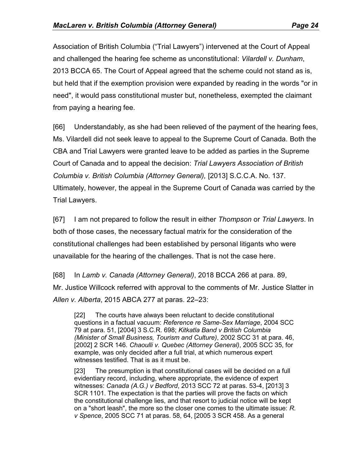Association of British Columbia ("Trial Lawyers") intervened at the Court of Appeal and challenged the hearing fee scheme as unconstitutional: *Vilardell v. Dunham*, 2013 BCCA 65. The Court of Appeal agreed that the scheme could not stand as is, but held that if the exemption provision were expanded by reading in the words "or in need", it would pass constitutional muster but, nonetheless, exempted the claimant from paying a hearing fee.

[66] Understandably, as she had been relieved of the payment of the hearing fees, Ms. Vilardell did not seek leave to appeal to the Supreme Court of Canada. Both the CBA and Trial Lawyers were granted leave to be added as parties in the Supreme Court of Canada and to appeal the decision: *Trial Lawyers Association of British Columbia v. British Columbia (Attorney General),* [2013] S.C.C.A. No. 137. Ultimately, however, the appeal in the Supreme Court of Canada was carried by the Trial Lawyers.

[67] I am not prepared to follow the result in either *Thompson* or *Trial Lawyers*. In both of those cases, the necessary factual matrix for the consideration of the constitutional challenges had been established by personal litigants who were unavailable for the hearing of the challenges. That is not the case here.

[68] In *Lamb v. Canada (Attorney General)*, 2018 BCCA 266 at para. 89, Mr. Justice Willcock referred with approval to the comments of Mr. Justice Slatter in *Allen v. Alberta*, 2015 ABCA 277 at paras. 22–23:

[22] The courts have always been reluctant to decide constitutional questions in a factual vacuum: *Reference re Same-Sex Marriage*, [2004 SCC](http://www.lexisnexis.com/ca/legal/search/runRemoteLink.do?A=0.6209298351843293&bct=A&service=citation&risb=21_T27845791877&langcountry=CA&linkInfo=F%23CA%23SCC%23sel1%252004%25year%252004%25decisiondate%252004%25onum%2579%25)  [79](http://www.lexisnexis.com/ca/legal/search/runRemoteLink.do?A=0.6209298351843293&bct=A&service=citation&risb=21_T27845791877&langcountry=CA&linkInfo=F%23CA%23SCC%23sel1%252004%25year%252004%25decisiondate%252004%25onum%2579%25) at para. 51, [2004] 3 S.C.R. 698; *Kitkatla Band v British Columbia (Minister of Small Business, Tourism and Culture)*, 2002 SCC 31 at para. 46, [2002] 2 SCR 146. *Chaoulli v. Quebec (Attorney General)*, 2005 SCC 35, for example, was only decided after a full trial, at which numerous expert witnesses testified. That is as it must be.

[23] The presumption is that constitutional cases will be decided on a full evidentiary record, including, where appropriate, the evidence of expert witnesses: *Canada (A.G.) v Bedford*, 2013 SCC 72 at paras. 53-4, [2013] 3 SCR 1101. The expectation is that the parties will prove the facts on which the constitutional challenge lies, and that resort to judicial notice will be kept on a "short leash", the more so the closer one comes to the ultimate issue: *R. v Spence*, 2005 SCC 71 at paras. 58, 64, [2005 3 SCR 458. As a general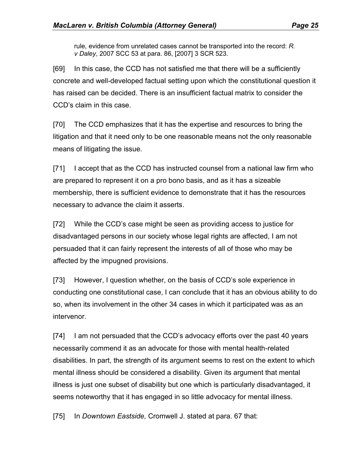rule, evidence from unrelated cases cannot be transported into the record: *R. v Daley*, 2007 SCC 53 at para. 86, [2007] 3 SCR 523.

[69] In this case, the CCD has not satisfied me that there will be a sufficiently concrete and well-developed factual setting upon which the constitutional question it has raised can be decided. There is an insufficient factual matrix to consider the CCD's claim in this case.

[70] The CCD emphasizes that it has the expertise and resources to bring the litigation and that it need only to be one reasonable means not the only reasonable means of litigating the issue.

[71] I accept that as the CCD has instructed counsel from a national law firm who are prepared to represent it on a pro bono basis, and as it has a sizeable membership, there is sufficient evidence to demonstrate that it has the resources necessary to advance the claim it asserts.

[72] While the CCD's case might be seen as providing access to justice for disadvantaged persons in our society whose legal rights are affected, I am not persuaded that it can fairly represent the interests of all of those who may be affected by the impugned provisions.

[73] However, I question whether, on the basis of CCD's sole experience in conducting one constitutional case, I can conclude that it has an obvious ability to do so, when its involvement in the other 34 cases in which it participated was as an intervenor.

[74] I am not persuaded that the CCD's advocacy efforts over the past 40 years necessarily commend it as an advocate for those with mental health-related disabilities. In part, the strength of its argument seems to rest on the extent to which mental illness should be considered a disability. Given its argument that mental illness is just one subset of disability but one which is particularly disadvantaged, it seems noteworthy that it has engaged in so little advocacy for mental illness.

[75] In *Downtown Eastside,* Cromwell J. stated at para. 67 that: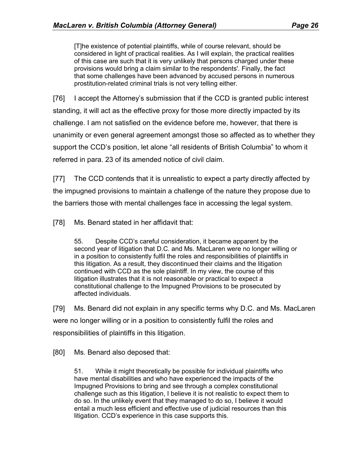[T]he existence of potential plaintiffs, while of course relevant, should be considered in light of practical realities. As I will explain, the practical realities of this case are such that it is very unlikely that persons charged under these provisions would bring a claim similar to the respondents'. Finally, the fact that some challenges have been advanced by accused persons in numerous prostitution-related criminal trials is not very telling either.

[76] I accept the Attorney's submission that if the CCD is granted public interest standing, it will act as the effective proxy for those more directly impacted by its challenge. I am not satisfied on the evidence before me, however, that there is unanimity or even general agreement amongst those so affected as to whether they support the CCD's position, let alone "all residents of British Columbia" to whom it referred in para. 23 of its amended notice of civil claim.

[77] The CCD contends that it is unrealistic to expect a party directly affected by the impugned provisions to maintain a challenge of the nature they propose due to the barriers those with mental challenges face in accessing the legal system.

[78] Ms. Benard stated in her affidavit that:

55. Despite CCD's careful consideration, it became apparent by the second year of litigation that D.C. and Ms. MacLaren were no longer willing or in a position to consistently fulfil the roles and responsibilities of plaintiffs in this litigation. As a result, they discontinued their claims and the litigation continued with CCD as the sole plaintiff. In my view, the course of this litigation illustrates that it is not reasonable or practical to expect a constitutional challenge to the Impugned Provisions to be prosecuted by affected individuals.

[79] Ms. Benard did not explain in any specific terms why D.C. and Ms. MacLaren were no longer willing or in a position to consistently fulfil the roles and responsibilities of plaintiffs in this litigation.

[80] Ms. Benard also deposed that:

51. While it might theoretically be possible for individual plaintiffs who have mental disabilities and who have experienced the impacts of the Impugned Provisions to bring and see through a complex constitutional challenge such as this litigation, I believe it is not realistic to expect them to do so. In the unlikely event that they managed to do so, I believe it would entail a much less efficient and effective use of judicial resources than this litigation. CCD's experience in this case supports this.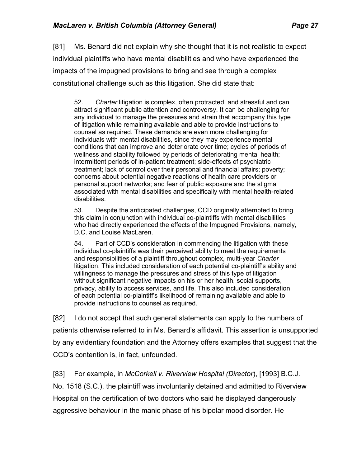[81] Ms. Benard did not explain why she thought that it is not realistic to expect individual plaintiffs who have mental disabilities and who have experienced the impacts of the impugned provisions to bring and see through a complex constitutional challenge such as this litigation. She did state that:

52. *Charter* litigation is complex, often protracted, and stressful and can attract significant public attention and controversy. It can be challenging for any individual to manage the pressures and strain that accompany this type of litigation while remaining available and able to provide instructions to counsel as required. These demands are even more challenging for individuals with mental disabilities, since they may experience mental conditions that can improve and deteriorate over time; cycles of periods of wellness and stability followed by periods of deteriorating mental health; intermittent periods of in-patient treatment; side-effects of psychiatric treatment; lack of control over their personal and financial affairs; poverty; concerns about potential negative reactions of health care providers or personal support networks; and fear of public exposure and the stigma associated with mental disabilities and specifically with mental health-related disabilities.

53. Despite the anticipated challenges, CCD originally attempted to bring this claim in conjunction with individual co-plaintiffs with mental disabilities who had directly experienced the effects of the Impugned Provisions, namely, D.C. and Louise MacLaren.

54. Part of CCD's consideration in commencing the litigation with these individual co-plaintiffs was their perceived ability to meet the requirements and responsibilities of a plaintiff throughout complex, multi-year *Charter*  litigation. This included consideration of each potential co-plaintiff's ability and willingness to manage the pressures and stress of this type of litigation without significant negative impacts on his or her health, social supports, privacy, ability to access services, and life. This also included consideration of each potential co-plaintiff's likelihood of remaining available and able to provide instructions to counsel as required.

[82] I do not accept that such general statements can apply to the numbers of patients otherwise referred to in Ms. Benard's affidavit. This assertion is unsupported by any evidentiary foundation and the Attorney offers examples that suggest that the CCD's contention is, in fact, unfounded.

[83] For example, in *McCorkell v. Riverview Hospital (Director*), [1993] B.C.J.

No. 1518 (S.C.), the plaintiff was involuntarily detained and admitted to Riverview Hospital on the certification of two doctors who said he displayed dangerously aggressive behaviour in the manic phase of his bipolar mood disorder. He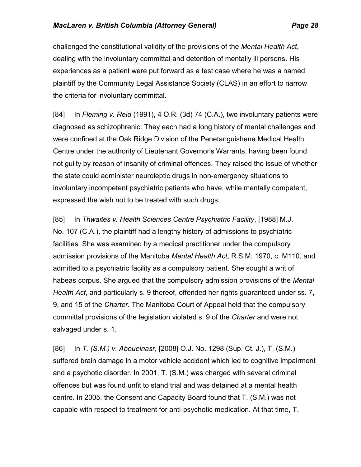challenged the constitutional validity of the provisions of the *Mental Health Act*, dealing with the involuntary committal and detention of mentally ill persons. His experiences as a patient were put forward as a test case where he was a named plaintiff by the Community Legal Assistance Society (CLAS) in an effort to narrow the criteria for involuntary committal.

[84] In *Fleming v. Reid* (1991), 4 O.R. (3d) 74 (C.A.), two involuntary patients were diagnosed as schizophrenic. They each had a long history of mental challenges and were confined at the Oak Ridge Division of the Penetanguishene Medical Health Centre under the authority of Lieutenant Governor's Warrants, having been found not guilty by reason of insanity of criminal offences. They raised the issue of whether the state could administer neuroleptic drugs in non-emergency situations to involuntary incompetent psychiatric patients who have, while mentally competent, expressed the wish not to be treated with such drugs.

[85] In *Thwaites v. Health Sciences Centre Psychiatric Facility*, [1988] M.J. No. 107 (C.A.), the plaintiff had a lengthy history of admissions to psychiatric facilities. She was examined by a medical practitioner under the compulsory admission provisions of the Manitoba *Mental Health Act*, R.S.M. 1970, c. M110, and admitted to a psychiatric facility as a compulsory patient. She sought a writ of habeas corpus. She argued that the compulsory admission provisions of the *Mental Health Act*, and particularly s. 9 thereof, offended her rights guaranteed under ss. 7, 9, and 15 of the *Charter*. The Manitoba Court of Appeal held that the compulsory committal provisions of the legislation violated s. 9 of the *Charter* and were not salvaged under s. 1.

[86] In *T. (S.M.) v. Abouelnasr*, [2008] O.J. No. 1298 (Sup. Ct. J.), T. (S.M.) suffered brain damage in a motor vehicle accident which led to cognitive impairment and a psychotic disorder. In 2001, T. (S.M.) was charged with several criminal offences but was found unfit to stand trial and was detained at a mental health centre. In 2005, the Consent and Capacity Board found that T. (S.M.) was not capable with respect to treatment for anti-psychotic medication. At that time, T.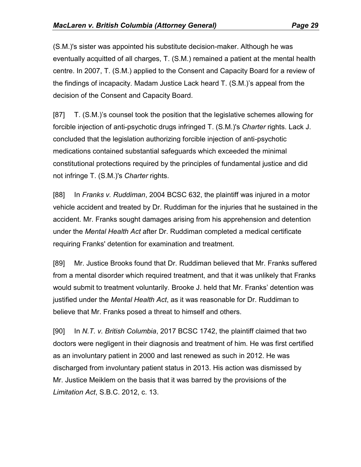(S.M.)'s sister was appointed his substitute decision-maker. Although he was eventually acquitted of all charges, T. (S.M.) remained a patient at the mental health centre. In 2007, T. (S.M.) applied to the Consent and Capacity Board for a review of the findings of incapacity. Madam Justice Lack heard T. (S.M.)'s appeal from the decision of the Consent and Capacity Board.

[87] T. (S.M.)'s counsel took the position that the legislative schemes allowing for forcible injection of anti-psychotic drugs infringed T. (S.M.)'s *Charter* rights. Lack J. concluded that the legislation authorizing forcible injection of anti-psychotic medications contained substantial safeguards which exceeded the minimal constitutional protections required by the principles of fundamental justice and did not infringe T. (S.M.)'s *Charter* rights.

[88] In *Franks v. Ruddiman*, 2004 BCSC 632, the plaintiff was injured in a motor vehicle accident and treated by Dr. Ruddiman for the injuries that he sustained in the accident. Mr. Franks sought damages arising from his apprehension and detention under the *Mental Health Act* after Dr. Ruddiman completed a medical certificate requiring Franks' detention for examination and treatment.

[89] Mr. Justice Brooks found that Dr. Ruddiman believed that Mr. Franks suffered from a mental disorder which required treatment, and that it was unlikely that Franks would submit to treatment voluntarily. Brooke J. held that Mr. Franks' detention was justified under the *Mental Health Act*, as it was reasonable for Dr. Ruddiman to believe that Mr. Franks posed a threat to himself and others.

[90] In *N.T. v. British Columbia*, 2017 BCSC 1742, the plaintiff claimed that two doctors were negligent in their diagnosis and treatment of him. He was first certified as an involuntary patient in 2000 and last renewed as such in 2012. He was discharged from involuntary patient status in 2013. His action was dismissed by Mr. Justice Meiklem on the basis that it was barred by the provisions of the *Limitation Act*, S.B.C. 2012, c. 13.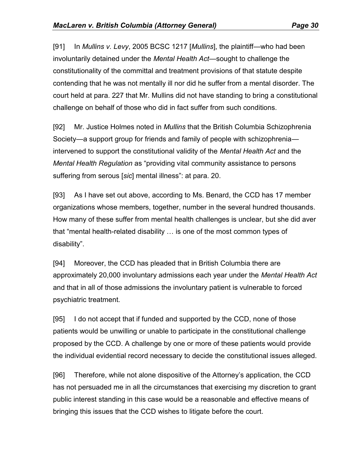[91] In *Mullins v. Levy*, 2005 BCSC 1217 [*Mullins*], the plaintiff—who had been involuntarily detained under the *Mental Health Act*—sought to challenge the constitutionality of the committal and treatment provisions of that statute despite contending that he was not mentally ill nor did he suffer from a mental disorder. The court held at para. 227 that Mr. Mullins did not have standing to bring a constitutional challenge on behalf of those who did in fact suffer from such conditions.

[92] Mr. Justice Holmes noted in *Mullins* that the British Columbia Schizophrenia Society—a support group for friends and family of people with schizophrenia intervened to support the constitutional validity of the *Mental Health Act* and the *Mental Health Regulation* as "providing vital community assistance to persons suffering from serous [*sic*] mental illness": at para. 20.

[93] As I have set out above, according to Ms. Benard, the CCD has 17 member organizations whose members, together, number in the several hundred thousands. How many of these suffer from mental health challenges is unclear, but she did aver that "mental health-related disability … is one of the most common types of disability".

[94] Moreover, the CCD has pleaded that in British Columbia there are approximately 20,000 involuntary admissions each year under the *Mental Health Act*  and that in all of those admissions the involuntary patient is vulnerable to forced psychiatric treatment.

[95] I do not accept that if funded and supported by the CCD, none of those patients would be unwilling or unable to participate in the constitutional challenge proposed by the CCD. A challenge by one or more of these patients would provide the individual evidential record necessary to decide the constitutional issues alleged.

[96] Therefore, while not alone dispositive of the Attorney's application, the CCD has not persuaded me in all the circumstances that exercising my discretion to grant public interest standing in this case would be a reasonable and effective means of bringing this issues that the CCD wishes to litigate before the court.